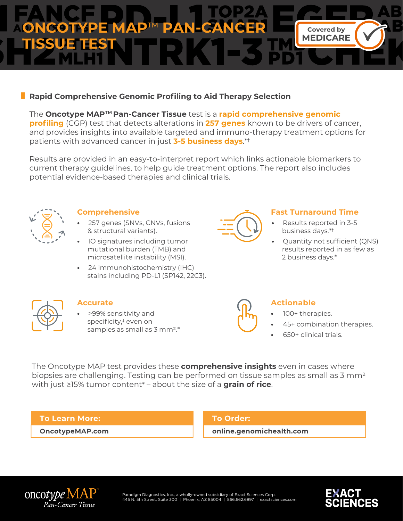

# **Rapid Comprehensive Genomic Profiling to Aid Therapy Selection**

## The **Oncotype MAPTM Pan-Cancer Tissue** test is a **rapid comprehensive genomic**

**profiling** (CGP) test that detects alterations in **257 genes** known to be drivers of cancer, and provides insights into available targeted and immuno-therapy treatment options for patients with advanced cancer in just **3-5 business days**.\*†

Results are provided in an easy-to-interpret report which links actionable biomarkers to current therapy guidelines, to help guide treatment options. The report also includes potential evidence-based therapies and clinical trials.



#### **Comprehensive**

- **•** 257 genes (SNVs, CNVs, fusions & structural variants).
- **•** IO signatures including tumor mutational burden (TMB) and microsatellite instability (MSI).
- **•** 24 immunohistochemistry (IHC) stains including PD-L1 (SP142, 22C3).



## **Fast Turnaround Time**

- **•** Results reported in 3-5 business days.\*†
- **•** Quantity not sufficient (QNS) results reported in as few as 2 business days.\*



## **Accurate**

**•** >99% sensitivity and specificity, ‡ even on samples as small as 3 mm<sup>2</sup>.\*

# **Actionable**

- 100+ therapies.
- 45+ combination therapies.
- 650+ clinical trials.

The Oncotype MAP test provides these **comprehensive insights** even in cases where biopsies are challenging. Testing can be performed on tissue samples as small as 3 mm2 with just ≥15% tumor content\* – about the size of a **grain of rice**.

## **To Learn More:**

**OncotypeMAP.com**

## **To Order:**

**online.genomichealth.com**